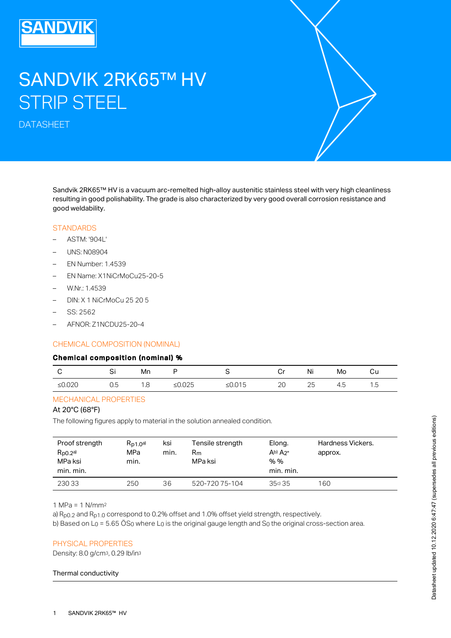# SANDVIK 2RK65™ HV STRIP STEEL

DATASHEET

Sandvik 2RK65™ HV is a vacuum arc-remelted high-alloy austenitic stainless steel with very high cleanliness resulting in good polishability. The grade is also characterized by very good overall corrosion resistance and good weldability.

#### **STANDARDS**

- ASTM: '904L'
- UNS: N08904
- EN Number: 1.4539
- EN Name: X1NiCrMoCu25-20-5
- W.Nr.: 1.4539
- DIN: X 1 NiCrMoCu 25 20 5
- SS: 2562
- AFNOR: Z1NCDU25-20-4

## CHEMICAL COMPOSITION (NOMINAL)

#### Chemical composition (nominal) %

|                                              | ັັ                              | Mn                              |           |                             | <br>Ÿ    | ΝI           | Mo | cu    |
|----------------------------------------------|---------------------------------|---------------------------------|-----------|-----------------------------|----------|--------------|----|-------|
| $\sim$ nnoc<br>$\mathbf{I}$<br><b>AU.UZU</b> | $\overline{\phantom{a}}$<br>∪.∪ | $\overline{\phantom{0}}$<br>. ت | ∪∠∪<br>∸∽ | $\bigcap_{\alpha}$<br>– ∪…∪ | ററ<br>∠∪ | $\cap$<br>てこ | −… | ں ، ا |

## MECHANICAL PROPERTIES

# At 20°C (68°F)

The following figures apply to material in the solution annealed condition.

| Proof strength<br>$R_{p0.2}$ a)<br>MPa ksi<br>min. min. | $R_{D1,0}$ a)<br>MPa<br>min. | ksi<br>min. | Tensile strength<br>Rm<br>MPa ksi | Elong.<br>$Ab)$ $A2"$<br>% %<br>min. min. | Hardness Vickers.<br>approx. |
|---------------------------------------------------------|------------------------------|-------------|-----------------------------------|-------------------------------------------|------------------------------|
| 23033                                                   | 250                          | 36          | 520-720 75-104                    | 35c) 35                                   | 160                          |

1 MPa = 1 N/mm 2

a)  $R_{\text{p0.2}}$  and  $R_{\text{p1.0}}$  correspond to 0.2% offset and 1.0% offset yield strength, respectively.

b) Based on L $_{\rm O}$  = 5.65 OS $_{\rm O}$  where L $_{\rm O}$  is the original gauge length and S $_{\rm O}$  the original cross-section area.

## PHYSICAL PROPERTIES

Density: 8.0 g/cm<sup>3</sup>, 0.29 lb/in<sup>3</sup>

#### Thermal conductivity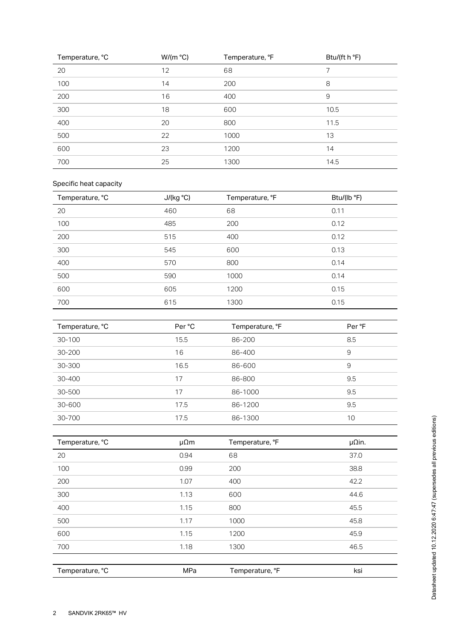| Temperature, °C | W/(m °C) | Temperature, °F | Btu/(ft h °F) |
|-----------------|----------|-----------------|---------------|
| 20              | 12       | 68              | 7             |
| 100             | 14       | 200             | 8             |
| 200             | 16       | 400             | 9             |
| 300             | 18       | 600             | 10.5          |
| 400             | 20       | 800             | 11.5          |
| 500             | 22       | 1000            | 13            |
| 600             | 23       | 1200            | 14            |
| 700             | 25       | 1300            | 14.5          |

# Specific heat capacity

| Temperature, °C | J/(kg °C) | Temperature, °F | Btu/(lb °F) |
|-----------------|-----------|-----------------|-------------|
| 20              | 460       | 68              | 0.11        |
| 100             | 485       | 200             | 0.12        |
| 200             | 515       | 400             | 0.12        |
| 300             | 545       | 600             | 0.13        |
| 400             | 570       | 800             | 0.14        |
| 500             | 590       | 1000            | 0.14        |
| 600             | 605       | 1200            | 0.15        |
| 700             | 615       | 1300            | 0.15        |

| Temperature, °C | Per °C | Temperature, °F | Per °F |
|-----------------|--------|-----------------|--------|
| 30-100          | 15.5   | 86-200          | 8.5    |
| 30-200          | 16     | 86-400          | 9      |
| 30-300          | 16.5   | 86-600          | 9      |
| 30-400          | 17     | 86-800          | 9.5    |
| 30-500          | 17     | 86-1000         | 9.5    |
| 30-600          | 17.5   | 86-1200         | 9.5    |
| 30-700          | 17.5   | 86-1300         | 10     |

| $30 - 700$      | 1/5            | 86-1300         | 10                 |
|-----------------|----------------|-----------------|--------------------|
|                 |                |                 |                    |
| Temperature, °C | $\mu \Omega m$ | Temperature, °F | $\mu$ $\Omega$ in. |
| 20              | 0.94           | 68              | 37.0               |
| 100             | 0.99           | 200             | 38.8               |
| 200             | 1.07           | 400             | 42.2               |
| 300             | 1.13           | 600             | 44.6               |
| 400             | 1.15           | 800             | 45.5               |
| 500             | 1.17           | 1000            | 45.8               |
| 600             | 1.15           | 1200            | 45.9               |
| 700             | 1.18           | 1300            | 46.5               |
|                 |                |                 |                    |
| Temperature, °C | MPa            | Temperature, °F | ksi                |